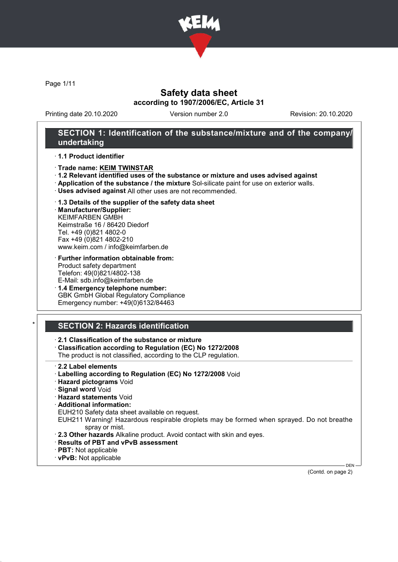

Page 1/11

## Safety data sheet according to 1907/2006/EC, Article 31

Printing date 20.10.2020 Version number 2.0 Revision: 20.10.2020

### SECTION 1: Identification of the substance/mixture and of the company/ undertaking

#### · 1.1 Product identifier

- · Trade name: KEIM TWINSTAR
- · 1.2 Relevant identified uses of the substance or mixture and uses advised against
- · Application of the substance / the mixture Sol-silicate paint for use on exterior walls.
- · Uses advised against All other uses are not recommended.

#### · 1.3 Details of the supplier of the safety data sheet

· Manufacturer/Supplier: KEIMFARBEN GMBH Keimstraße 16 / 86420 Diedorf Tel. +49 (0)821 4802-0 Fax +49 (0)821 4802-210 www.keim.com / info@keimfarben.de

- · Further information obtainable from: Product safety department Telefon: 49(0)821/4802-138 E-Mail: sdb.info@keimfarben.de
- · 1.4 Emergency telephone number: GBK GmbH Global Regulatory Compliance Emergency number: +49(0)6132/84463

## **SECTION 2: Hazards identification**

### · 2.1 Classification of the substance or mixture

· Classification according to Regulation (EC) No 1272/2008

The product is not classified, according to the CLP regulation.

- · 2.2 Label elements
- · Labelling according to Regulation (EC) No 1272/2008 Void
- · Hazard pictograms Void
- · Signal word Void
- · Hazard statements Void
- · Additional information:
- EUH210 Safety data sheet available on request.

EUH211 Warning! Hazardous respirable droplets may be formed when sprayed. Do not breathe spray or mist.

- · 2.3 Other hazards Alkaline product. Avoid contact with skin and eyes.
- · Results of PBT and vPvB assessment
- · PBT: Not applicable
- · vPvB: Not applicable

DEN (Contd. on page 2)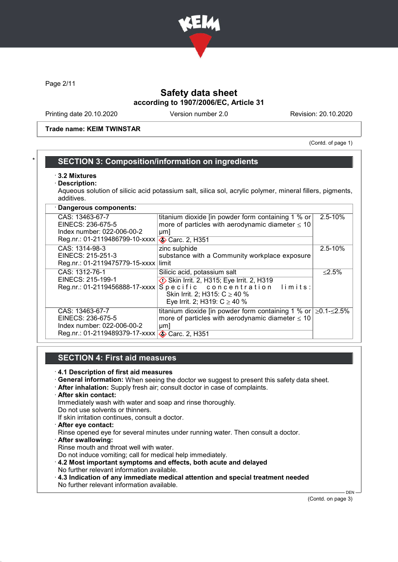

Page 2/11

## Safety data sheet according to 1907/2006/EC, Article 31

Printing date 20.10.2020 Version number 2.0 Revision: 20.10.2020

Trade name: KEIM TWINSTAR

(Contd. of page 1)

## **SECTION 3: Composition/information on ingredients**

- · 3.2 Mixtures
- Description:

Aqueous solution of silicic acid potassium salt, silica sol, acrylic polymer, mineral fillers, pigments, additives.

| · Dangerous components:                                                                              |                                                                                                                                                                                       |             |
|------------------------------------------------------------------------------------------------------|---------------------------------------------------------------------------------------------------------------------------------------------------------------------------------------|-------------|
| CAS: 13463-67-7<br>EINECS: 236-675-5<br>Index number: 022-006-00-2<br>Reg.nr.: 01-2119486799-10-xxxx | titanium dioxide [in powder form containing 1 % or  <br>more of particles with aerodynamic diameter $\leq 10$<br>µm]<br><b>◆ Carc. 2, H351</b>                                        | $2.5 - 10%$ |
| CAS: 1314-98-3<br>EINECS: 215-251-3<br>Reg.nr.: 01-2119475779-15-xxxx                                | zinc sulphide<br>substance with a Community workplace exposure<br>limit                                                                                                               | $2.5 - 10%$ |
| CAS: 1312-76-1<br>EINECS: 215-199-1<br>Reg.nr.: 01-2119456888-17-xxxx                                | Silicic acid, potassium salt<br>Skin Irrit. 2, H315; Eye Irrit. 2, H319<br>Specific concentration<br>limits:<br>Skin Irrit. 2; H315: $C \ge 40$ %<br>Eye Irrit. 2; H319: $C \ge 40$ % | $≤2.5%$     |
| CAS: 13463-67-7<br>EINECS: 236-675-5<br>Index number: 022-006-00-2<br>Reg.nr.: 01-2119489379-17-xxxx | titanium dioxide [in powder form containing 1 % or $\geq$ 0.1- $\leq$ 2.5%<br>more of particles with aerodynamic diameter $\leq 10$<br>$\mu$ m<br><b>◆ Carc. 2, H351</b>              |             |

### SECTION 4: First aid measures

- · 4.1 Description of first aid measures
- · General information: When seeing the doctor we suggest to present this safety data sheet.
- · After inhalation: Supply fresh air; consult doctor in case of complaints.
- · After skin contact:

Immediately wash with water and soap and rinse thoroughly.

Do not use solvents or thinners.

- If skin irritation continues, consult a doctor.
- · After eye contact:
- Rinse opened eye for several minutes under running water. Then consult a doctor.
- · After swallowing:

Rinse mouth and throat well with water.

- Do not induce vomiting; call for medical help immediately.
- · 4.2 Most important symptoms and effects, both acute and delayed
- No further relevant information available.
- · 4.3 Indication of any immediate medical attention and special treatment needed No further relevant information available.

(Contd. on page 3)

DEN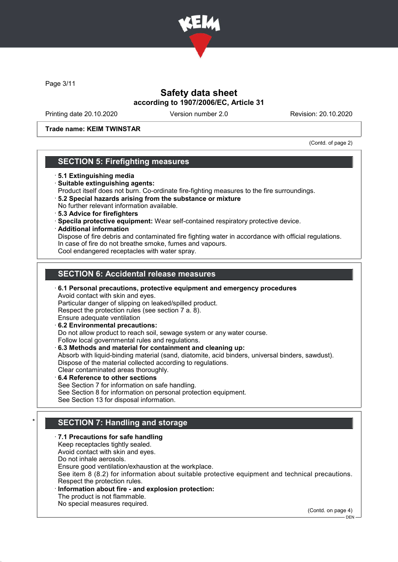

Page 3/11

## Safety data sheet according to 1907/2006/EC, Article 31

Printing date 20.10.2020 Version number 2.0 Revision: 20.10.2020

### Trade name: KEIM TWINSTAR

(Contd. of page 2)

### SECTION 5: Firefighting measures

- · 5.1 Extinguishing media
- · Suitable extinguishing agents:
- Product itself does not burn. Co-ordinate fire-fighting measures to the fire surroundings.
- · 5.2 Special hazards arising from the substance or mixture No further relevant information available.
- · 5.3 Advice for firefighters
- · Specila protective equipment: Wear self-contained respiratory protective device.
- · Additional information

Dispose of fire debris and contaminated fire fighting water in accordance with official regulations. In case of fire do not breathe smoke, fumes and vapours. Cool endangered receptacles with water spray.

### SECTION 6: Accidental release measures

· 6.1 Personal precautions, protective equipment and emergency procedures Avoid contact with skin and eyes. Particular danger of slipping on leaked/spilled product. Respect the protection rules (see section 7 a. 8). Ensure adequate ventilation · 6.2 Environmental precautions:

Do not allow product to reach soil, sewage system or any water course.

Follow local governmental rules and regulations.

· 6.3 Methods and material for containment and cleaning up:

Absorb with liquid-binding material (sand, diatomite, acid binders, universal binders, sawdust). Dispose of the material collected according to regulations.

Clear contaminated areas thoroughly.

6.4 Reference to other sections See Section 7 for information on safe handling. See Section 8 for information on personal protection equipment. See Section 13 for disposal information.

## SECTION 7: Handling and storage

### · 7.1 Precautions for safe handling

Keep receptacles tightly sealed.

Avoid contact with skin and eyes.

Do not inhale aerosols.

Ensure good ventilation/exhaustion at the workplace.

See item 8 (8.2) for information about suitable protective equipment and technical precautions. Respect the protection rules.

### Information about fire - and explosion protection:

The product is not flammable.

No special measures required.

(Contd. on page 4)

DEN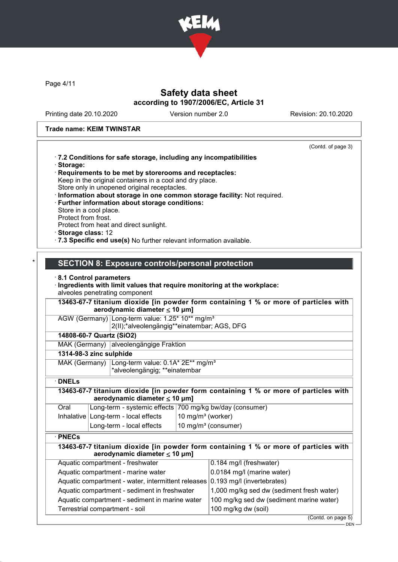

Page 4/11

# Safety data sheet according to 1907/2006/EC, Article 31

Printing date 20.10.2020 Version number 2.0 Revision: 20.10.2020

### Trade name: KEIM TWINSTAR

|                                                                                                                            | (Contd. of page 3)                        |
|----------------------------------------------------------------------------------------------------------------------------|-------------------------------------------|
| .7.2 Conditions for safe storage, including any incompatibilities<br>· Storage:                                            |                                           |
| Requirements to be met by storerooms and receptacles:<br>Keep in the original containers in a cool and dry place.          |                                           |
| Store only in unopened original receptacles.                                                                               |                                           |
| · Information about storage in one common storage facility: Not required.                                                  |                                           |
| · Further information about storage conditions:                                                                            |                                           |
| Store in a cool place.<br>Protect from frost.                                                                              |                                           |
| Protect from heat and direct sunlight.                                                                                     |                                           |
| · Storage class: 12                                                                                                        |                                           |
| · 7.3 Specific end use(s) No further relevant information available.                                                       |                                           |
|                                                                                                                            |                                           |
| <b>SECTION 8: Exposure controls/personal protection</b>                                                                    |                                           |
| 8.1 Control parameters                                                                                                     |                                           |
| · Ingredients with limit values that require monitoring at the workplace:                                                  |                                           |
| alveoles penetrating component                                                                                             |                                           |
| 13463-67-7 titanium dioxide [in powder form containing 1 % or more of particles with                                       |                                           |
| aerodynamic diameter $\leq 10$ µm]                                                                                         |                                           |
| AGW (Germany) Long-term value: 1.25* 10** mg/m <sup>3</sup>                                                                |                                           |
| 2(II);*alveolengängig**einatembar; AGS, DFG                                                                                |                                           |
| 14808-60-7 Quartz (SiO2)                                                                                                   |                                           |
| MAK (Germany) alveolengängige Fraktion                                                                                     |                                           |
| 1314-98-3 zinc sulphide                                                                                                    |                                           |
| Long-term value: 0.1A* 2E** mg/m <sup>3</sup><br>MAK (Germany)<br>*alveolengängig; **einatembar                            |                                           |
| $\cdot$ DNELs                                                                                                              |                                           |
|                                                                                                                            |                                           |
| 13463-67-7 titanium dioxide [in powder form containing 1 % or more of particles with<br>aerodynamic diameter $\leq 10$ µm] |                                           |
| Long-term - systemic effects 700 mg/kg bw/day (consumer)<br>Oral                                                           |                                           |
| 10 mg/m $3$ (worker)<br>Inhalative   Long-term - local effects                                                             |                                           |
| 10 mg/m <sup>3</sup> (consumer)<br>Long-term - local effects                                                               |                                           |
| $\cdot$ PNECs                                                                                                              |                                           |
| 13463-67-7 titanium dioxide [in powder form containing 1 % or more of particles with                                       |                                           |
| aerodynamic diameter $\leq 10$ µm]                                                                                         |                                           |
| Aquatic compartment - freshwater                                                                                           | 0.184 mg/l (freshwater)                   |
| Aquatic compartment - marine water                                                                                         | 0.0184 mg/l (marine water)                |
| Aquatic compartment - water, intermittent releases                                                                         | 0.193 mg/l (invertebrates)                |
| Aquatic compartment - sediment in freshwater                                                                               | 1,000 mg/kg sed dw (sediment fresh water) |
| Aquatic compartment - sediment in marine water                                                                             | 100 mg/kg sed dw (sediment marine water)  |
| Terrestrial compartment - soil                                                                                             | 100 mg/kg dw (soil)                       |

(Contd. on page 5)

DEN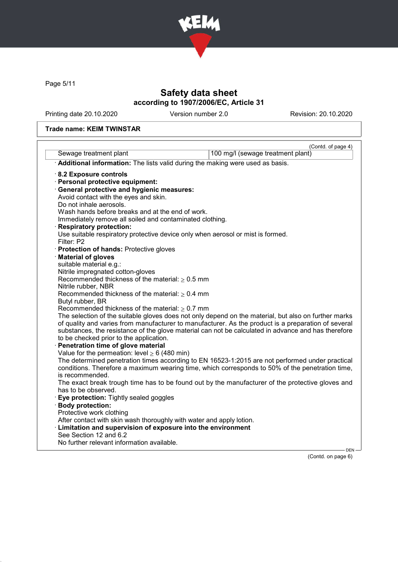

Page 5/11

# Safety data sheet according to 1907/2006/EC, Article 31

Printing date 20.10.2020 Version number 2.0 Revision: 20.10.2020

# Trade name: KEIM TWINSTAR

|                                                                                                      | (Contd. of page 4)                |
|------------------------------------------------------------------------------------------------------|-----------------------------------|
| Sewage treatment plant                                                                               | 100 mg/l (sewage treatment plant) |
| Additional information: The lists valid during the making were used as basis.                        |                                   |
| 8.2 Exposure controls                                                                                |                                   |
| · Personal protective equipment:                                                                     |                                   |
| · General protective and hygienic measures:                                                          |                                   |
| Avoid contact with the eyes and skin.                                                                |                                   |
| Do not inhale aerosols.                                                                              |                                   |
| Wash hands before breaks and at the end of work.                                                     |                                   |
| Immediately remove all soiled and contaminated clothing.                                             |                                   |
| · Respiratory protection:                                                                            |                                   |
| Use suitable respiratory protective device only when aerosol or mist is formed.                      |                                   |
| Filter: P2                                                                                           |                                   |
| Protection of hands: Protective gloves                                                               |                                   |
| Material of gloves                                                                                   |                                   |
| suitable material e.g.:                                                                              |                                   |
| Nitrile impregnated cotton-gloves                                                                    |                                   |
| Recommended thickness of the material: $\geq 0.5$ mm                                                 |                                   |
| Nitrile rubber, NBR                                                                                  |                                   |
| Recommended thickness of the material: $\geq 0.4$ mm<br>Butyl rubber, BR                             |                                   |
| Recommended thickness of the material: $\geq 0.7$ mm                                                 |                                   |
| The selection of the suitable gloves does not only depend on the material, but also on further marks |                                   |
| of quality and varies from manufacturer to manufacturer. As the product is a preparation of several  |                                   |
| substances, the resistance of the glove material can not be calculated in advance and has therefore  |                                   |
| to be checked prior to the application.                                                              |                                   |
| Penetration time of glove material                                                                   |                                   |
| Value for the permeation: level $\geq 6$ (480 min)                                                   |                                   |
| The determined penetration times according to EN 16523-1:2015 are not performed under practical      |                                   |
| conditions. Therefore a maximum wearing time, which corresponds to 50% of the penetration time,      |                                   |
| is recommended.                                                                                      |                                   |
| The exact break trough time has to be found out by the manufacturer of the protective gloves and     |                                   |
| has to be observed.                                                                                  |                                   |
| <b>Eye protection:</b> Tightly sealed goggles                                                        |                                   |
| · Body protection:                                                                                   |                                   |
| Protective work clothing                                                                             |                                   |
| After contact with skin wash thoroughly with water and apply lotion.                                 |                                   |
| · Limitation and supervision of exposure into the environment                                        |                                   |
| See Section 12 and 6.2                                                                               |                                   |
| No further relevant information available.                                                           |                                   |

(Contd. on page 6)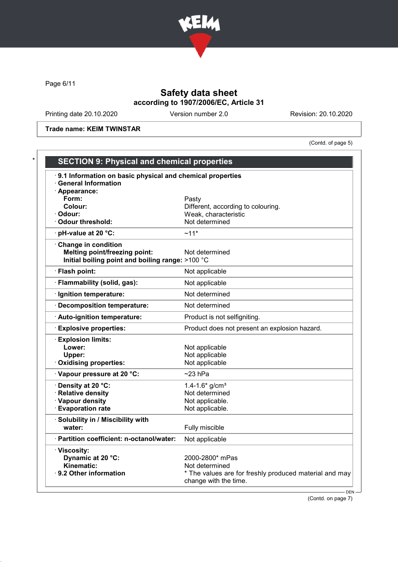

Page 6/11

# Safety data sheet according to 1907/2006/EC, Article 31

Printing date 20.10.2020 Version number 2.0 Revision: 20.10.2020

Trade name: KEIM TWINSTAR

(Contd. of page 5)

| 9.1 Information on basic physical and chemical properties<br><b>General Information</b> |                                                        |
|-----------------------------------------------------------------------------------------|--------------------------------------------------------|
| · Appearance:                                                                           |                                                        |
| Form:                                                                                   | Pasty                                                  |
| Colour:                                                                                 | Different, according to colouring.                     |
| · Odour:                                                                                | Weak, characteristic                                   |
| Odour threshold:                                                                        | Not determined                                         |
| $\cdot$ pH-value at 20 °C:                                                              | $~11*$                                                 |
| · Change in condition                                                                   |                                                        |
| <b>Melting point/freezing point:</b>                                                    | Not determined                                         |
| Initial boiling point and boiling range: >100 °C                                        |                                                        |
| · Flash point:                                                                          | Not applicable                                         |
| · Flammability (solid, gas):                                                            | Not applicable                                         |
| · Ignition temperature:                                                                 | Not determined                                         |
| · Decomposition temperature:                                                            | Not determined                                         |
| · Auto-ignition temperature:                                                            | Product is not selfigniting.                           |
| <b>Explosive properties:</b>                                                            | Product does not present an explosion hazard.          |
| <b>Explosion limits:</b>                                                                |                                                        |
| Lower:                                                                                  | Not applicable                                         |
| Upper:                                                                                  | Not applicable                                         |
| Oxidising properties:                                                                   | Not applicable                                         |
| Vapour pressure at 20 °C:                                                               | $\sim$ 23 hPa                                          |
| Density at 20 °C:                                                                       | 1.4-1.6* $g/cm3$                                       |
| · Relative density                                                                      | Not determined                                         |
| · Vapour density                                                                        | Not applicable.                                        |
| · Evaporation rate                                                                      | Not applicable.                                        |
| · Solubility in / Miscibility with                                                      |                                                        |
| water:                                                                                  | Fully miscible                                         |
| · Partition coefficient: n-octanol/water:                                               | Not applicable                                         |
| · Viscosity:                                                                            |                                                        |
| Dynamic at 20 °C:                                                                       | 2000-2800* mPas                                        |
| Kinematic:                                                                              | Not determined                                         |
| $\cdot$ 9.2 Other information                                                           | * The values are for freshly produced material and may |

(Contd. on page 7)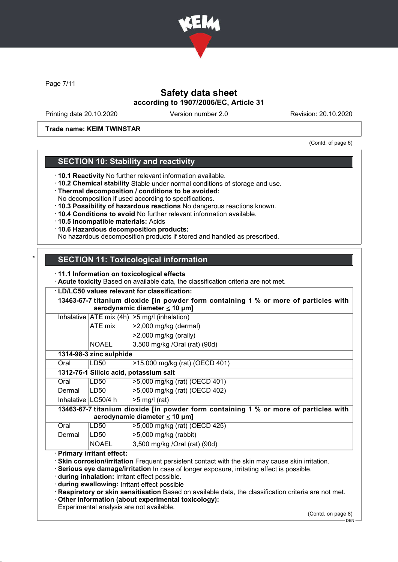

Page 7/11

## Safety data sheet according to 1907/2006/EC, Article 31

Printing date 20.10.2020 Version number 2.0 Revision: 20.10.2020

### Trade name: KEIM TWINSTAR

(Contd. of page 6)

## SECTION 10: Stability and reactivity

· 10.1 Reactivity No further relevant information available.

- · 10.2 Chemical stability Stable under normal conditions of storage and use.
- · Thermal decomposition / conditions to be avoided:
- No decomposition if used according to specifications.
- · 10.3 Possibility of hazardous reactions No dangerous reactions known.
- · 10.4 Conditions to avoid No further relevant information available.
- · 10.5 Incompatible materials: Acids
- · 10.6 Hazardous decomposition products:
- No hazardous decomposition products if stored and handled as prescribed.

# **SECTION 11: Toxicological information**

- · 11.1 Information on toxicological effects
- · Acute toxicity Based on available data, the classification criteria are not met.

### · LD/LC50 values relevant for classification:

|        |                         | Inhalative $ ATE \text{ mix } (4h)  > 5 \text{ mg/l } (inhalation)$                  |
|--------|-------------------------|--------------------------------------------------------------------------------------|
|        | ATE mix                 | >2,000 mg/kg (dermal)                                                                |
|        |                         | $>2,000$ mg/kg (orally)                                                              |
|        | <b>NOAEL</b>            | 3,500 mg/kg /Oral (rat) (90d)                                                        |
|        | 1314-98-3 zinc sulphide |                                                                                      |
| Oral   | LD50                    | >15,000 mg/kg (rat) (OECD 401)                                                       |
|        |                         | 1312-76-1 Silicic acid, potassium salt                                               |
| Oral   | LD50                    | >5,000 mg/kg (rat) (OECD 401)                                                        |
| Dermal | LD50                    | >5,000 mg/kg (rat) (OECD 402)                                                        |
|        | Inhalative   LC50/4 h   | $>5$ mg/l (rat)                                                                      |
|        |                         | 13463-67-7 titanium dioxide [in powder form containing 1 % or more of particles with |
|        |                         | aerodynamic diameter $\leq 10$ µm]                                                   |
| Oral   | LD50                    | >5,000 mg/kg (rat) (OECD 425)                                                        |
| Dermal | LD50                    | $>5,000$ mg/kg (rabbit)                                                              |
|        | <b>NOAEL</b>            | 3,500 mg/kg /Oral (rat) (90d)                                                        |

· during inhalation: Irritant effect possible.

· during swallowing: Irritant effect possible

· Respiratory or skin sensitisation Based on available data, the classification criteria are not met.

· Other information (about experimental toxicology):

Experimental analysis are not available.

(Contd. on page 8)

 $-$  DEN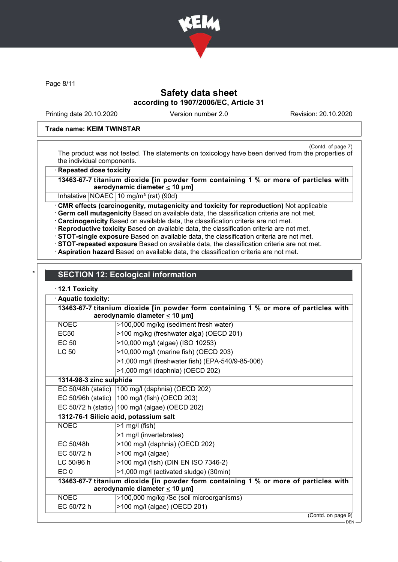

Page 8/11

## Safety data sheet according to 1907/2006/EC, Article 31

Printing date 20.10.2020 Version number 2.0 Revision: 20.10.2020

#### Trade name: KEIM TWINSTAR

(Contd. of page 7) The product was not tested. The statements on toxicology have been derived from the properties of the individual components.

**Repeated dose toxicity** 

13463-67-7 titanium dioxide [in powder form containing 1 % or more of particles with aerodynamic diameter  $\leq 10 \mu m$ ]

Inhalative NOAEC 10 mg/m<sup>3</sup> (rat) (90d)

· CMR effects (carcinogenity, mutagenicity and toxicity for reproduction) Not applicable

· Germ cell mutagenicity Based on available data, the classification criteria are not met.

· Carcinogenicity Based on available data, the classification criteria are not met.

· Reproductive toxicity Based on available data, the classification criteria are not met.

· STOT-single exposure Based on available data, the classification criteria are not met.

· STOT-repeated exposure Based on available data, the classification criteria are not met.

· Aspiration hazard Based on available data, the classification criteria are not met.

# **SECTION 12: Ecological information**

### · 12.1 Toxicity

| <b>Aquatic toxicity:</b> |                                                                                                                            |
|--------------------------|----------------------------------------------------------------------------------------------------------------------------|
|                          | 13463-67-7 titanium dioxide [in powder form containing 1 % or more of particles with<br>aerodynamic diameter $\leq 10$ µm] |
| <b>NOEC</b>              | $\geq$ 100,000 mg/kg (sediment fresh water)                                                                                |
| EC <sub>50</sub>         | >100 mg/kg (freshwater alga) (OECD 201)                                                                                    |
| EC 50                    | >10,000 mg/l (algae) (ISO 10253)                                                                                           |
| <b>LC 50</b>             | >10,000 mg/l (marine fish) (OECD 203)                                                                                      |
|                          | >1,000 mg/l (freshwater fish) (EPA-540/9-85-006)                                                                           |
|                          | >1,000 mg/l (daphnia) (OECD 202)                                                                                           |
| 1314-98-3 zinc sulphide  |                                                                                                                            |
|                          | EC 50/48h (static)   100 mg/l (daphnia) (OECD 202)                                                                         |
|                          | EC 50/96h (static) $ 100 \text{ mg/l}$ (fish) (OECD 203)                                                                   |
|                          | EC 50/72 h (static) 100 mg/l (algae) (OECD 202)                                                                            |
|                          | 1312-76-1 Silicic acid, potassium salt                                                                                     |
| <b>NOEC</b>              | $>1$ mg/l (fish)                                                                                                           |
|                          | >1 mg/l (invertebrates)                                                                                                    |
| EC 50/48h                | >100 mg/l (daphnia) (OECD 202)                                                                                             |
| EC 50/72 h               | >100 mg/l (algae)                                                                                                          |
| LC 50/96 h               | >100 mg/l (fish) (DIN EN ISO 7346-2)                                                                                       |
| EC <sub>0</sub>          | >1,000 mg/l (activated sludge) (30min)                                                                                     |
|                          | 13463-67-7 titanium dioxide [in powder form containing 1 % or more of particles with<br>aerodynamic diameter $\leq 10$ µm] |
| <b>NOEC</b>              | ≥100,000 mg/kg /Se (soil microorganisms)                                                                                   |
| EC 50/72 h               | >100 mg/l (algae) (OECD 201)                                                                                               |
|                          | $10 - 11$                                                                                                                  |

(Contd. on page 9)

DEN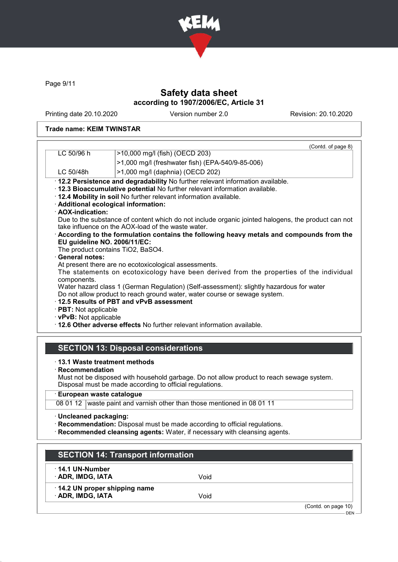

Page 9/11

# Safety data sheet according to 1907/2006/EC, Article 31

Printing date 20.10.2020 Version number 2.0 Revision: 20.10.2020

### Trade name: KEIM TWINSTAR

|                             | (Contd. of page 8)                                                                                                                                       |
|-----------------------------|----------------------------------------------------------------------------------------------------------------------------------------------------------|
| LC 50/96 h                  | >10,000 mg/l (fish) (OECD 203)                                                                                                                           |
|                             | >1,000 mg/l (freshwater fish) (EPA-540/9-85-006)                                                                                                         |
| LC 50/48h                   | >1,000 mg/l (daphnia) (OECD 202)                                                                                                                         |
|                             | · 12.2 Persistence and degradability No further relevant information available.                                                                          |
|                             | . 12.3 Bioaccumulative potential No further relevant information available.                                                                              |
|                             | . 12.4 Mobility in soil No further relevant information available.                                                                                       |
|                             | · Additional ecological information:                                                                                                                     |
| · AOX-indication:           |                                                                                                                                                          |
|                             | Due to the substance of content which do not include organic jointed halogens, the product can not<br>take influence on the AOX-load of the waste water. |
|                             | According to the formulation contains the following heavy metals and compounds from the                                                                  |
|                             | EU guideline NO. 2006/11/EC:                                                                                                                             |
|                             | The product contains TiO2, BaSO4.                                                                                                                        |
| · General notes:            |                                                                                                                                                          |
|                             | At present there are no ecotoxicological assessments.                                                                                                    |
| components.                 | The statements on ecotoxicology have been derived from the properties of the individual                                                                  |
|                             | Water hazard class 1 (German Regulation) (Self-assessment): slightly hazardous for water                                                                 |
|                             | Do not allow product to reach ground water, water course or sewage system.                                                                               |
|                             | 12.5 Results of PBT and vPvB assessment                                                                                                                  |
| $\cdot$ PBT: Not applicable |                                                                                                                                                          |
|                             |                                                                                                                                                          |
| · vPvB: Not applicable      |                                                                                                                                                          |

· 13.1 Waste treatment methods

· Recommendation

Must not be disposed with household garbage. Do not allow product to reach sewage system. Disposal must be made according to official regulations.

· European waste catalogue

08 01 12 waste paint and varnish other than those mentioned in 08 01 11

· Uncleaned packaging:

· Recommendation: Disposal must be made according to official regulations.

· Recommended cleansing agents: Water, if necessary with cleansing agents.

| <b>SECTION 14: Transport information</b>          |      |                                |
|---------------------------------------------------|------|--------------------------------|
| $\cdot$ 14.1 UN-Number<br>· ADR, IMDG, IATA       | Void |                                |
| 14.2 UN proper shipping name<br>· ADR, IMDG, IATA | Void |                                |
|                                                   |      | (Contd. on page 10)<br>$DEN -$ |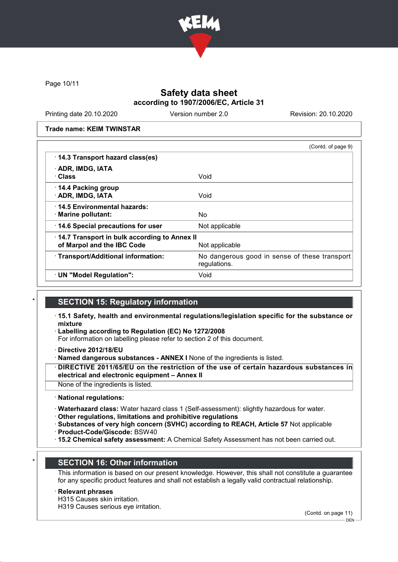

Page 10/11

## Safety data sheet according to 1907/2006/EC, Article 31

Printing date 20.10.2020 Version number 2.0 Revision: 20.10.2020

Trade name: KEIM TWINSTAR

|                                              | (Contd. of page 9)                                            |
|----------------------------------------------|---------------------------------------------------------------|
| 14.3 Transport hazard class(es)              |                                                               |
| · ADR, IMDG, IATA                            |                                                               |
| · Class                                      | Void                                                          |
| 14.4 Packing group                           |                                                               |
| · ADR, IMDG, IATA                            | Void                                                          |
| 14.5 Environmental hazards:                  |                                                               |
| $\cdot$ Marine pollutant:                    | No.                                                           |
| 14.6 Special precautions for user            | Not applicable                                                |
| 14.7 Transport in bulk according to Annex II |                                                               |
| of Marpol and the IBC Code                   | Not applicable                                                |
| · Transport/Additional information:          | No dangerous good in sense of these transport<br>regulations. |
| · UN "Model Regulation":                     | Void                                                          |

### **SECTION 15: Regulatory information**

- · 15.1 Safety, health and environmental regulations/legislation specific for the substance or mixture
- Labelling according to Regulation (EC) No 1272/2008
- For information on labelling please refer to section 2 of this document.
- · Directive 2012/18/EU
- Named dangerous substances ANNEX I None of the ingredients is listed.

DIRECTIVE 2011/65/EU on the restriction of the use of certain hazardous substances in electrical and electronic equipment – Annex II

- None of the ingredients is listed.
- · National regulations:
- · Waterhazard class: Water hazard class 1 (Self-assessment): slightly hazardous for water.
- · Other regulations, limitations and prohibitive regulations
- · Substances of very high concern (SVHC) according to REACH, Article 57 Not applicable
- · Product-Code/Giscode: BSW40
- · 15.2 Chemical safety assessment: A Chemical Safety Assessment has not been carried out.

### **SECTION 16: Other information**

This information is based on our present knowledge. However, this shall not constitute a guarantee for any specific product features and shall not establish a legally valid contractual relationship.

#### **Relevant phrases**

H315 Causes skin irritation.

H319 Causes serious eye irritation.

(Contd. on page 11)

DEN